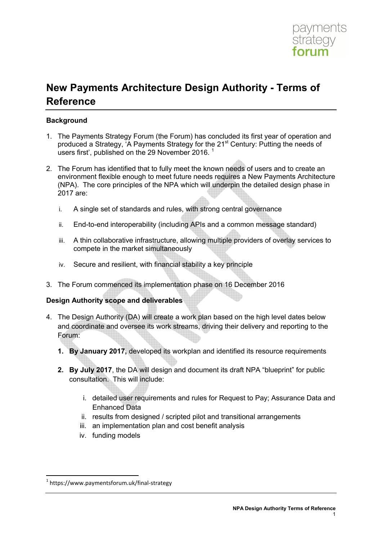

# **New Payments Architecture Design Authority - Terms of Reference**

## **Background**

- 1. The Payments Strategy Forum (the Forum) has concluded its first year of operation and produced a Strategy, 'A Payments Strategy for the 21<sup>st</sup> Century: Putting the needs of users first', published on the 29 November 2016.
- 2. The Forum has identified that to fully meet the known needs of users and to create an environment flexible enough to meet future needs requires a New Payments Architecture (NPA). The core principles of the NPA which will underpin the detailed design phase in 2017 are:
	- i. A single set of standards and rules, with strong central governance
	- ii. End-to-end interoperability (including APIs and a common message standard)
	- iii. A thin collaborative infrastructure, allowing multiple providers of overlay services to compete in the market simultaneously
	- iv. Secure and resilient, with financial stability a key principle
- 3. The Forum commenced its implementation phase on 16 December 2016

#### **Design Authority scope and deliverables**

- 4. The Design Authority (DA) will create a work plan based on the high level dates below and coordinate and oversee its work streams, driving their delivery and reporting to the Forum:
	- **1. By January 2017,** developed its workplan and identified its resource requirements
	- **2. By July 2017**, the DA will design and document its draft NPA "blueprint" for public consultation. This will include:
		- i. detailed user requirements and rules for Request to Pay; Assurance Data and Enhanced Data
		- ii. results from designed / scripted pilot and transitional arrangements
		- iii. an implementation plan and cost benefit analysis
		- iv. funding models

<u>.</u>

<sup>1</sup> https://www.paymentsforum.uk/final-strategy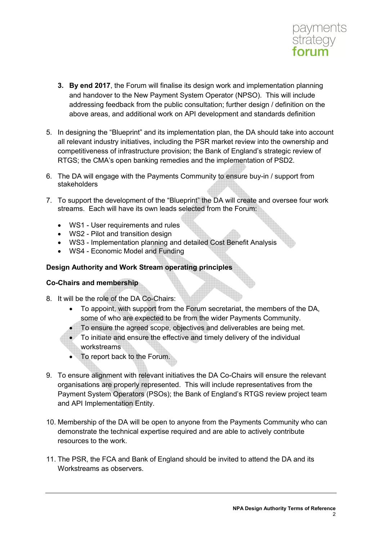

- **3. By end 2017**, the Forum will finalise its design work and implementation planning and handover to the New Payment System Operator (NPSO). This will include addressing feedback from the public consultation; further design / definition on the above areas, and additional work on API development and standards definition
- 5. In designing the "Blueprint" and its implementation plan, the DA should take into account all relevant industry initiatives, including the PSR market review into the ownership and competitiveness of infrastructure provision; the Bank of England's strategic review of RTGS; the CMA's open banking remedies and the implementation of PSD2.
- 6. The DA will engage with the Payments Community to ensure buy-in / support from stakeholders
- 7. To support the development of the "Blueprint" the DA will create and oversee four work streams. Each will have its own leads selected from the Forum:
	- WS1 User requirements and rules
	- WS2 Pilot and transition design
	- WS3 Implementation planning and detailed Cost Benefit Analysis
	- WS4 Economic Model and Funding

# **Design Authority and Work Stream operating principles**

# **Co-Chairs and membership**

- 8. It will be the role of the DA Co-Chairs:
	- To appoint, with support from the Forum secretariat, the members of the DA, some of who are expected to be from the wider Payments Community.
	- To ensure the agreed scope, objectives and deliverables are being met.
	- To initiate and ensure the effective and timely delivery of the individual workstreams
	- To report back to the Forum.
- 9. To ensure alignment with relevant initiatives the DA Co-Chairs will ensure the relevant organisations are properly represented. This will include representatives from the Payment System Operators (PSOs); the Bank of England's RTGS review project team and API Implementation Entity.
- 10. Membership of the DA will be open to anyone from the Payments Community who can demonstrate the technical expertise required and are able to actively contribute resources to the work.
- 11. The PSR, the FCA and Bank of England should be invited to attend the DA and its Workstreams as observers.